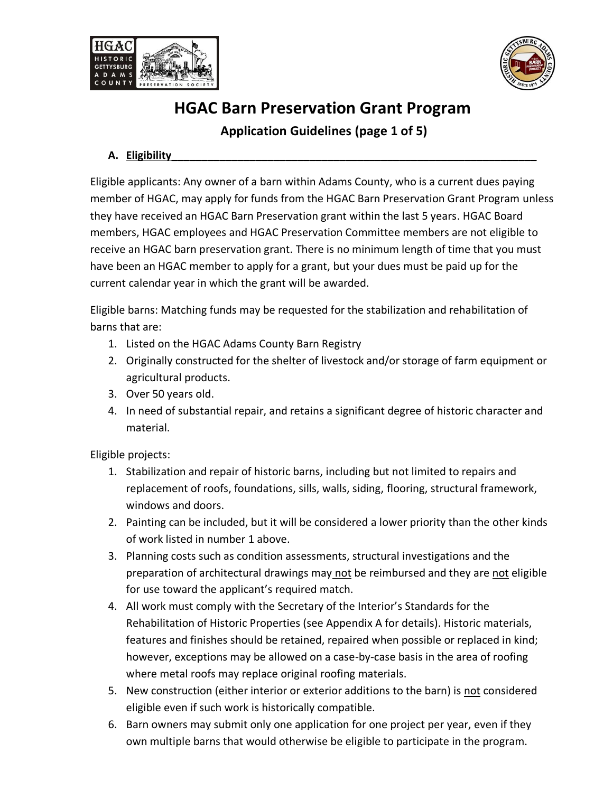



### **Application Guidelines (page 1 of 5)**

#### **A. Eligibility\_\_\_\_\_\_\_\_\_\_\_\_\_\_\_\_\_\_\_\_\_\_\_\_\_\_\_\_\_\_\_\_\_\_\_\_\_\_\_\_\_\_\_\_\_\_\_\_\_\_\_\_\_\_\_\_\_\_\_\_\_**

Eligible applicants: Any owner of a barn within Adams County, who is a current dues paying member of HGAC, may apply for funds from the HGAC Barn Preservation Grant Program unless they have received an HGAC Barn Preservation grant within the last 5 years. HGAC Board members, HGAC employees and HGAC Preservation Committee members are not eligible to receive an HGAC barn preservation grant. There is no minimum length of time that you must have been an HGAC member to apply for a grant, but your dues must be paid up for the current calendar year in which the grant will be awarded.

Eligible barns: Matching funds may be requested for the stabilization and rehabilitation of barns that are:

- 1. Listed on the HGAC Adams County Barn Registry
- 2. Originally constructed for the shelter of livestock and/or storage of farm equipment or agricultural products.
- 3. Over 50 years old.
- 4. In need of substantial repair, and retains a significant degree of historic character and material.

Eligible projects:

- 1. Stabilization and repair of historic barns, including but not limited to repairs and replacement of roofs, foundations, sills, walls, siding, flooring, structural framework, windows and doors.
- 2. Painting can be included, but it will be considered a lower priority than the other kinds of work listed in number 1 above.
- 3. Planning costs such as condition assessments, structural investigations and the preparation of architectural drawings may not be reimbursed and they are not eligible for use toward the applicant's required match.
- 4. All work must comply with the Secretary of the Interior's Standards for the Rehabilitation of Historic Properties (see Appendix A for details). Historic materials, features and finishes should be retained, repaired when possible or replaced in kind; however, exceptions may be allowed on a case-by-case basis in the area of roofing where metal roofs may replace original roofing materials.
- 5. New construction (either interior or exterior additions to the barn) is not considered eligible even if such work is historically compatible.
- 6. Barn owners may submit only one application for one project per year, even if they own multiple barns that would otherwise be eligible to participate in the program.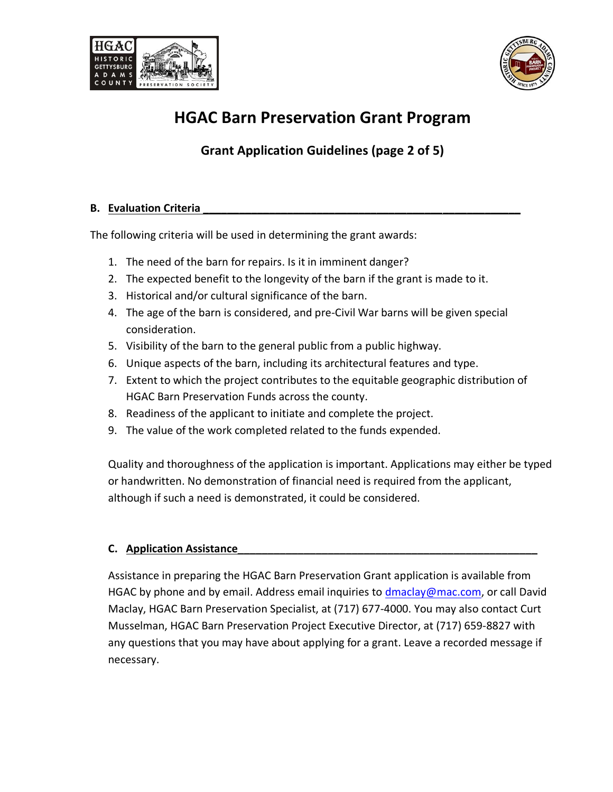



### **Grant Application Guidelines (page 2 of 5)**

#### **B.** Evaluation Criteria

The following criteria will be used in determining the grant awards:

- 1. The need of the barn for repairs. Is it in imminent danger?
- 2. The expected benefit to the longevity of the barn if the grant is made to it.
- 3. Historical and/or cultural significance of the barn.
- 4. The age of the barn is considered, and pre-Civil War barns will be given special consideration.
- 5. Visibility of the barn to the general public from a public highway.
- 6. Unique aspects of the barn, including its architectural features and type.
- 7. Extent to which the project contributes to the equitable geographic distribution of HGAC Barn Preservation Funds across the county.
- 8. Readiness of the applicant to initiate and complete the project.
- 9. The value of the work completed related to the funds expended.

Quality and thoroughness of the application is important. Applications may either be typed or handwritten. No demonstration of financial need is required from the applicant, although if such a need is demonstrated, it could be considered.

#### **C. Application Assistance\_\_\_\_\_\_\_\_\_\_\_\_\_\_\_\_\_\_\_\_\_\_\_\_\_\_\_\_\_\_\_\_\_\_\_\_\_\_\_\_\_\_\_\_\_\_\_\_\_\_**

Assistance in preparing the HGAC Barn Preservation Grant application is available from HGAC by phone and by email. Address email inquiries to **dmaclay@mac.com**, or call David Maclay, HGAC Barn Preservation Specialist, at (717) 677-4000. You may also contact Curt Musselman, HGAC Barn Preservation Project Executive Director, at (717) 659-8827 with any questions that you may have about applying for a grant. Leave a recorded message if necessary.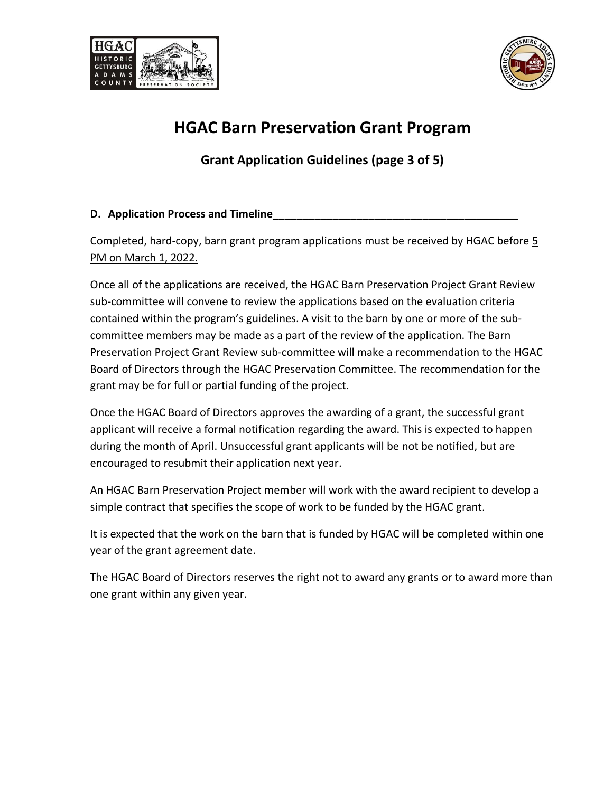



**Grant Application Guidelines (page 3 of 5)**

#### **D. Application Process and Timeline\_\_\_\_\_\_\_\_\_\_\_\_\_\_\_\_\_\_\_\_\_\_\_\_\_\_\_\_\_\_\_\_\_\_\_\_\_\_\_\_\_**

Completed, hard-copy, barn grant program applications must be received by HGAC before 5 PM on March 1, 2022.

Once all of the applications are received, the HGAC Barn Preservation Project Grant Review sub-committee will convene to review the applications based on the evaluation criteria contained within the program's guidelines. A visit to the barn by one or more of the subcommittee members may be made as a part of the review of the application. The Barn Preservation Project Grant Review sub-committee will make a recommendation to the HGAC Board of Directors through the HGAC Preservation Committee. The recommendation for the grant may be for full or partial funding of the project.

Once the HGAC Board of Directors approves the awarding of a grant, the successful grant applicant will receive a formal notification regarding the award. This is expected to happen during the month of April. Unsuccessful grant applicants will be not be notified, but are encouraged to resubmit their application next year.

An HGAC Barn Preservation Project member will work with the award recipient to develop a simple contract that specifies the scope of work to be funded by the HGAC grant.

It is expected that the work on the barn that is funded by HGAC will be completed within one year of the grant agreement date.

The HGAC Board of Directors reserves the right not to award any grants or to award more than one grant within any given year.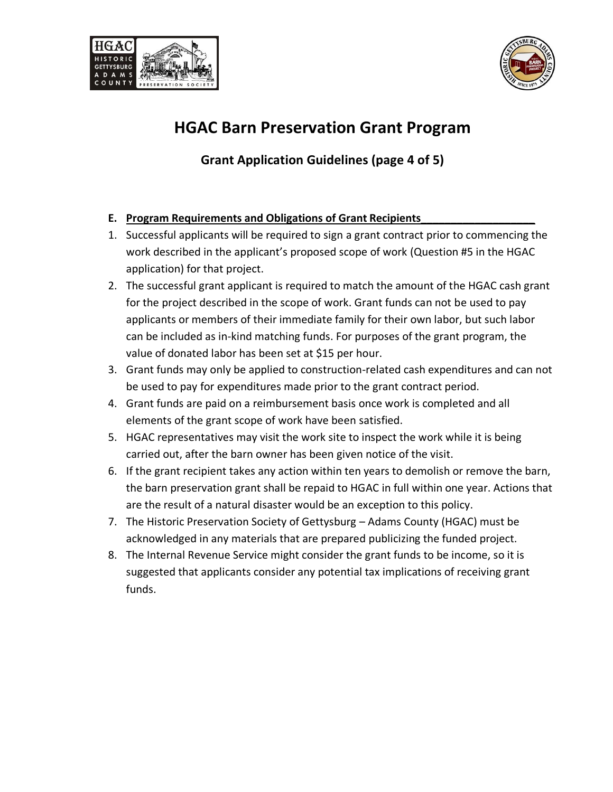



**Grant Application Guidelines (page 4 of 5)**

#### **E. Program Requirements and Obligations of Grant Recipients\_\_\_\_\_\_\_\_\_\_\_\_\_\_\_\_\_\_\_**

- 1. Successful applicants will be required to sign a grant contract prior to commencing the work described in the applicant's proposed scope of work (Question #5 in the HGAC application) for that project.
- 2. The successful grant applicant is required to match the amount of the HGAC cash grant for the project described in the scope of work. Grant funds can not be used to pay applicants or members of their immediate family for their own labor, but such labor can be included as in-kind matching funds. For purposes of the grant program, the value of donated labor has been set at \$15 per hour.
- 3. Grant funds may only be applied to construction-related cash expenditures and can not be used to pay for expenditures made prior to the grant contract period.
- 4. Grant funds are paid on a reimbursement basis once work is completed and all elements of the grant scope of work have been satisfied.
- 5. HGAC representatives may visit the work site to inspect the work while it is being carried out, after the barn owner has been given notice of the visit.
- 6. If the grant recipient takes any action within ten years to demolish or remove the barn, the barn preservation grant shall be repaid to HGAC in full within one year. Actions that are the result of a natural disaster would be an exception to this policy.
- 7. The Historic Preservation Society of Gettysburg Adams County (HGAC) must be acknowledged in any materials that are prepared publicizing the funded project.
- 8. The Internal Revenue Service might consider the grant funds to be income, so it is suggested that applicants consider any potential tax implications of receiving grant funds.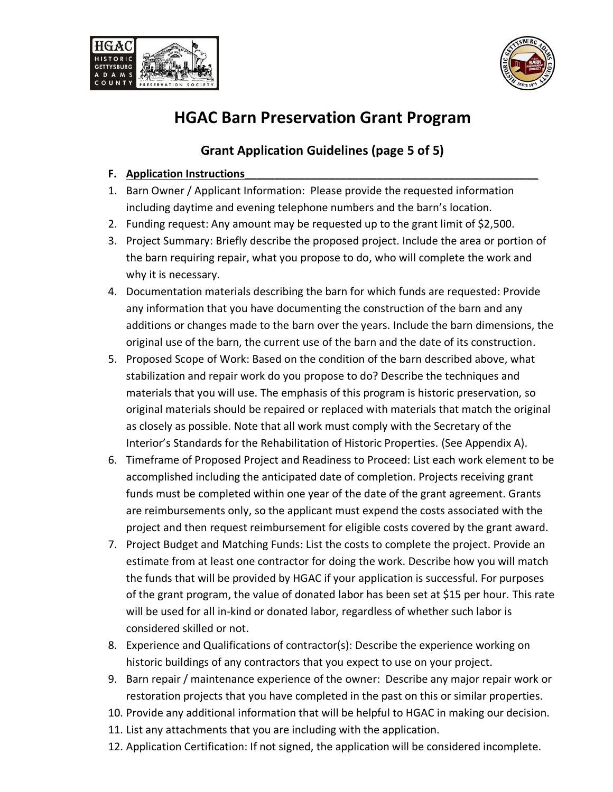



### **Grant Application Guidelines (page 5 of 5)**

#### **F.** Application Instructions

- 1. Barn Owner / Applicant Information: Please provide the requested information including daytime and evening telephone numbers and the barn's location.
- 2. Funding request: Any amount may be requested up to the grant limit of \$2,500.
- 3. Project Summary: Briefly describe the proposed project. Include the area or portion of the barn requiring repair, what you propose to do, who will complete the work and why it is necessary.
- 4. Documentation materials describing the barn for which funds are requested: Provide any information that you have documenting the construction of the barn and any additions or changes made to the barn over the years. Include the barn dimensions, the original use of the barn, the current use of the barn and the date of its construction.
- 5. Proposed Scope of Work: Based on the condition of the barn described above, what stabilization and repair work do you propose to do? Describe the techniques and materials that you will use. The emphasis of this program is historic preservation, so original materials should be repaired or replaced with materials that match the original as closely as possible. Note that all work must comply with the Secretary of the Interior's Standards for the Rehabilitation of Historic Properties. (See Appendix A).
- 6. Timeframe of Proposed Project and Readiness to Proceed: List each work element to be accomplished including the anticipated date of completion. Projects receiving grant funds must be completed within one year of the date of the grant agreement. Grants are reimbursements only, so the applicant must expend the costs associated with the project and then request reimbursement for eligible costs covered by the grant award.
- 7. Project Budget and Matching Funds: List the costs to complete the project. Provide an estimate from at least one contractor for doing the work. Describe how you will match the funds that will be provided by HGAC if your application is successful. For purposes of the grant program, the value of donated labor has been set at \$15 per hour. This rate will be used for all in-kind or donated labor, regardless of whether such labor is considered skilled or not.
- 8. Experience and Qualifications of contractor(s): Describe the experience working on historic buildings of any contractors that you expect to use on your project.
- 9. Barn repair / maintenance experience of the owner: Describe any major repair work or restoration projects that you have completed in the past on this or similar properties.
- 10. Provide any additional information that will be helpful to HGAC in making our decision.
- 11. List any attachments that you are including with the application.
- 12. Application Certification: If not signed, the application will be considered incomplete.